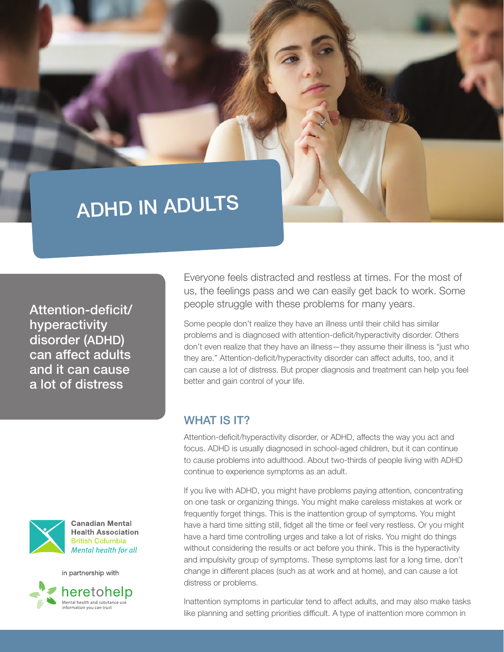# ADHD IN ADULTS

Attention-deficit/ hyperactivity disorder (ADHD) can affect adults and it can cause a lot of distress



**Canadian Mental Health Association British Columbia Mental health for all** 



Everyone feels distracted and restless at times. For the most of us, the feelings pass and we can easily get back to work. Some people struggle with these problems for many years.

Some people don't realize they have an illness until their child has similar problems and is diagnosed with attention-deficit/hyperactivity disorder. Others don't even realize that they have an illness—they assume their illness is "just who they are." Attention-deficit/hyperactivity disorder can affect adults, too, and it can cause a lot of distress. But proper diagnosis and treatment can help you feel better and gain control of your life.

### WHAT IS **IT?**

Attention-deficit/hyperactivity disorder, or ADHD, affects the way you act and focus. ADHD is usually diagnosed in school-aged children, but it can continue to cause problems into adulthood. About two-thirds of people living with ADHD continue to experience symptoms as an adult.

If you live with ADHD, you might have problems paying attention, concentrating on one task or organizing things. You might make careless mistakes at work or frequently forget things. This is the inattention group of symptoms. You might have a hard time sitting still, fidget all the time or feel very restless. Or you might have a hard time controlling urges and take a lot of risks. You might do things without considering the results or act before you think. This is the hyperactivity and impulsivity group of symptoms. These symptoms last for a long time, don't change in different places (such as at work and at home), and can cause a lot distress or problems.

Inattention symptoms in particular tend to affect adults, and may also make tasks like planning and setting priorities difficult. A type of inattention more common in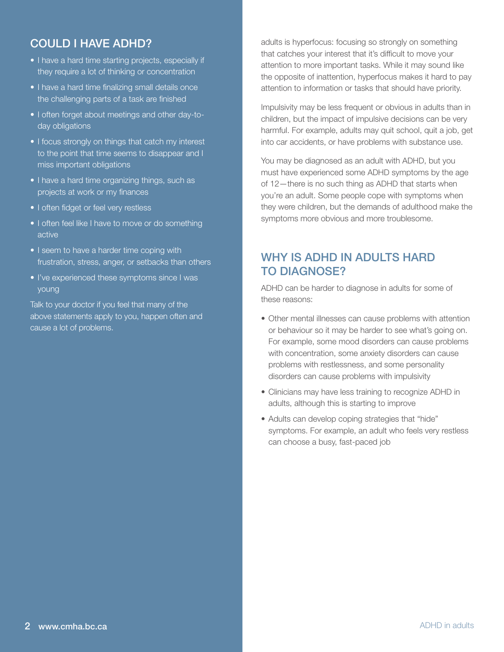# COULD I HAVE ADHD?

- I have a hard time starting projects, especially if they require a lot of thinking or concentration
- I have a hard time finalizing small details once the challenging parts of a task are finished
- I often forget about meetings and other day-today obligations
- I focus strongly on things that catch my interest to the point that time seems to disappear and I miss important obligations
- I have a hard time organizing things, such as projects at work or my finances
- I often fidget or feel very restless
- I often feel like I have to move or do something active
- I seem to have a harder time coping with frustration, stress, anger, or setbacks than others
- I've experienced these symptoms since I was young

Talk to your doctor if you feel that many of the above statements apply to you, happen often and cause a lot of problems.

adults is hyperfocus: focusing so strongly on something that catches your interest that it's difficult to move your attention to more important tasks. While it may sound like the opposite of inattention, hyperfocus makes it hard to pay attention to information or tasks that should have priority.

Impulsivity may be less frequent or obvious in adults than in children, but the impact of impulsive decisions can be very harmful. For example, adults may quit school, quit a job, get into car accidents, or have problems with substance use.

You may be diagnosed as an adult with ADHD, but you must have experienced some ADHD symptoms by the age of 12—there is no such thing as ADHD that starts when you're an adult. Some people cope with symptoms when they were children, but the demands of adulthood make the symptoms more obvious and more troublesome.

## WHY IS ADHD IN ADULTS HARD TO DIAGNOSE?

ADHD can be harder to diagnose in adults for some of these reasons:

- Other mental illnesses can cause problems with attention or behaviour so it may be harder to see what's going on. For example, some mood disorders can cause problems with concentration, some anxiety disorders can cause problems with restlessness, and some personality disorders can cause problems with impulsivity
- Clinicians may have less training to recognize ADHD in adults, although this is starting to improve
- Adults can develop coping strategies that "hide" symptoms. For example, an adult who feels very restless can choose a busy, fast-paced job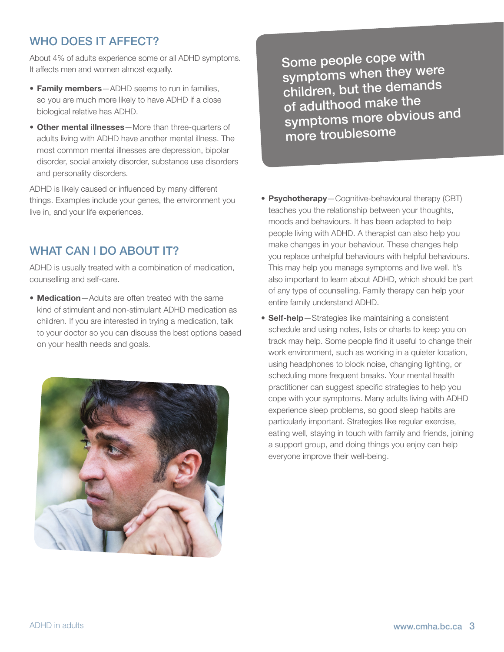# WHO DOES IT AFFECT?

About 4% of adults experience some or all ADHD symptoms. It affects men and women almost equally.

- Family members-ADHD seems to run in families, so you are much more likely to have ADHD if a close biological relative has ADHD.
- Other mental illnesses—More than three-quarters of adults living with ADHD have another mental illness. The most common mental illnesses are depression, bipolar disorder, social anxiety disorder, substance use disorders and personality disorders.

ADHD is likely caused or influenced by many different things. Examples include your genes, the environment you live in, and your life experiences.

## WHAT CAN I DO ABOUT IT?

ADHD is usually treated with a combination of medication, counselling and self-care.

• **Medication** - Adults are often treated with the same kind of stimulant and non-stimulant ADHD medication as children. If you are interested in trying a medication, talk to your doctor so you can discuss the best options based on your health needs and goals.



Some people cope with symptoms when they were children, but the demands of adulthood make the symptoms more obvious and more troublesome

- Psychotherapy-Cognitive-behavioural therapy (CBT) teaches you the relationship between your thoughts, moods and behaviours. It has been adapted to help people living with ADHD. A therapist can also help you make changes in your behaviour. These changes help you replace unhelpful behaviours with helpful behaviours. This may help you manage symptoms and live well. It's also important to learn about ADHD, which should be part of any type of counselling. Family therapy can help your entire family understand ADHD.
- Self-help-Strategies like maintaining a consistent schedule and using notes, lists or charts to keep you on track may help. Some people find it useful to change their work environment, such as working in a quieter location, using headphones to block noise, changing lighting, or scheduling more frequent breaks. Your mental health practitioner can suggest specific strategies to help you cope with your symptoms. Many adults living with ADHD experience sleep problems, so good sleep habits are particularly important. Strategies like regular exercise, eating well, staying in touch with family and friends, joining a support group, and doing things you enjoy can help everyone improve their well-being.